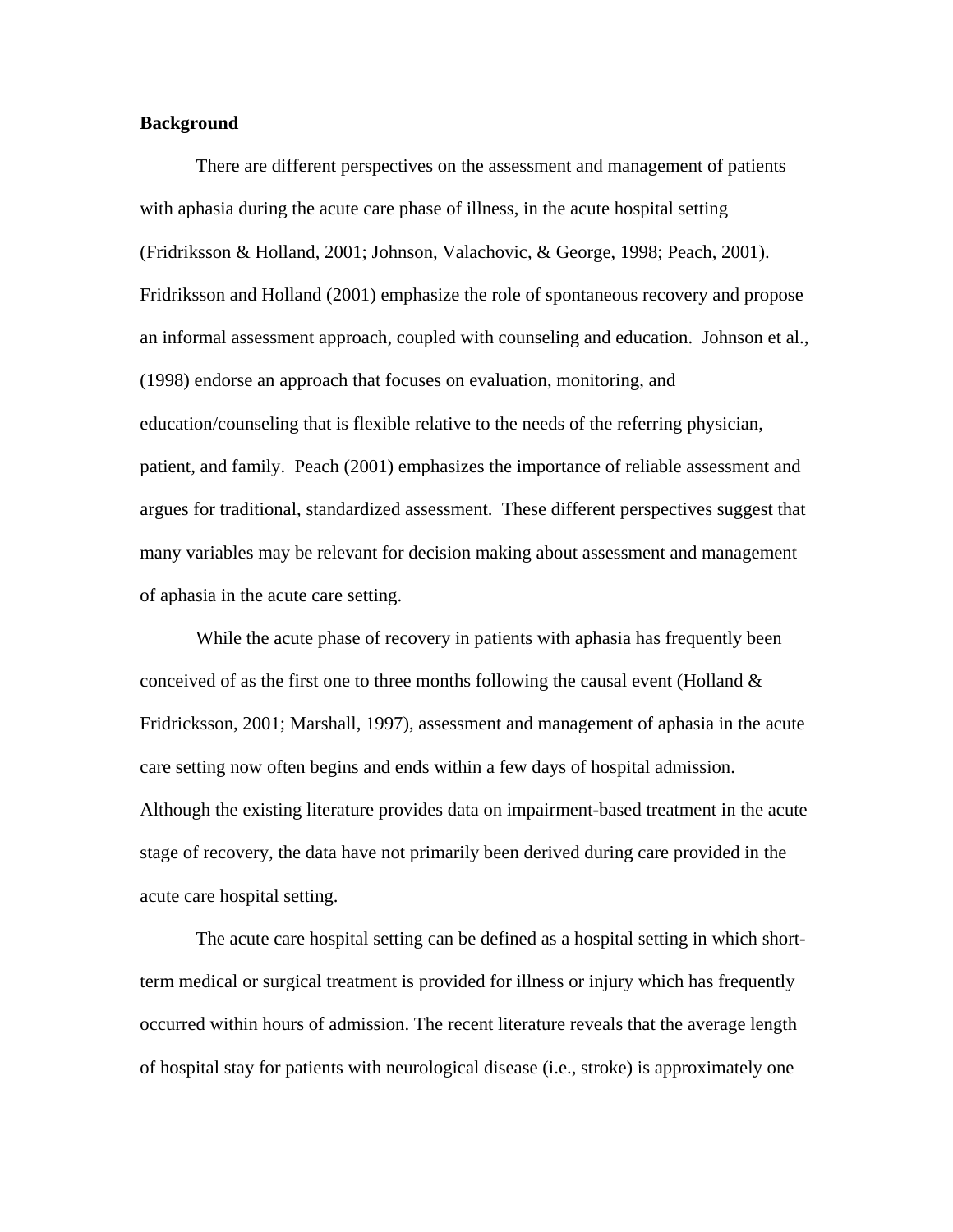# **Background**

 There are different perspectives on the assessment and management of patients with aphasia during the acute care phase of illness, in the acute hospital setting (Fridriksson & Holland, 2001; Johnson, Valachovic, & George, 1998; Peach, 2001). Fridriksson and Holland (2001) emphasize the role of spontaneous recovery and propose an informal assessment approach, coupled with counseling and education. Johnson et al., (1998) endorse an approach that focuses on evaluation, monitoring, and education/counseling that is flexible relative to the needs of the referring physician, patient, and family. Peach (2001) emphasizes the importance of reliable assessment and argues for traditional, standardized assessment. These different perspectives suggest that many variables may be relevant for decision making about assessment and management of aphasia in the acute care setting.

While the acute phase of recovery in patients with aphasia has frequently been conceived of as the first one to three months following the causal event (Holland  $\&$ Fridricksson, 2001; Marshall, 1997), assessment and management of aphasia in the acute care setting now often begins and ends within a few days of hospital admission. Although the existing literature provides data on impairment-based treatment in the acute stage of recovery, the data have not primarily been derived during care provided in the acute care hospital setting.

 The acute care hospital setting can be defined as a hospital setting in which shortterm medical or surgical treatment is provided for illness or injury which has frequently occurred within hours of admission. The recent literature reveals that the average length of hospital stay for patients with neurological disease (i.e., stroke) is approximately one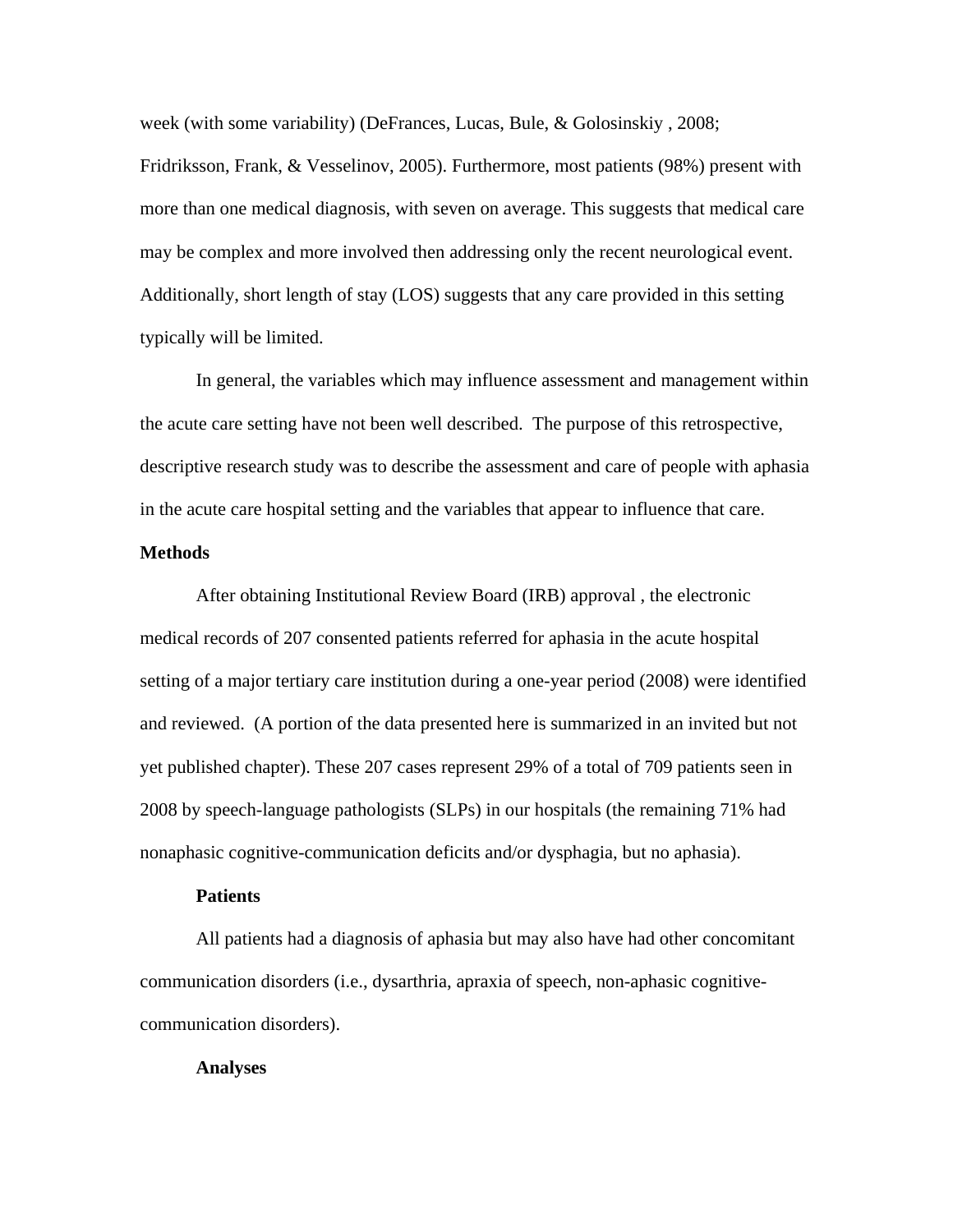week (with some variability) (DeFrances, Lucas, Bule, & Golosinskiy , 2008;

Fridriksson, Frank, & Vesselinov, 2005). Furthermore, most patients (98%) present with more than one medical diagnosis, with seven on average. This suggests that medical care may be complex and more involved then addressing only the recent neurological event. Additionally, short length of stay (LOS) suggests that any care provided in this setting typically will be limited.

In general, the variables which may influence assessment and management within the acute care setting have not been well described. The purpose of this retrospective, descriptive research study was to describe the assessment and care of people with aphasia in the acute care hospital setting and the variables that appear to influence that care.

# **Methods**

After obtaining Institutional Review Board (IRB) approval , the electronic medical records of 207 consented patients referred for aphasia in the acute hospital setting of a major tertiary care institution during a one-year period (2008) were identified and reviewed. (A portion of the data presented here is summarized in an invited but not yet published chapter). These 207 cases represent 29% of a total of 709 patients seen in 2008 by speech-language pathologists (SLPs) in our hospitals (the remaining 71% had nonaphasic cognitive-communication deficits and/or dysphagia, but no aphasia).

## **Patients**

All patients had a diagnosis of aphasia but may also have had other concomitant communication disorders (i.e., dysarthria, apraxia of speech, non-aphasic cognitivecommunication disorders).

#### **Analyses**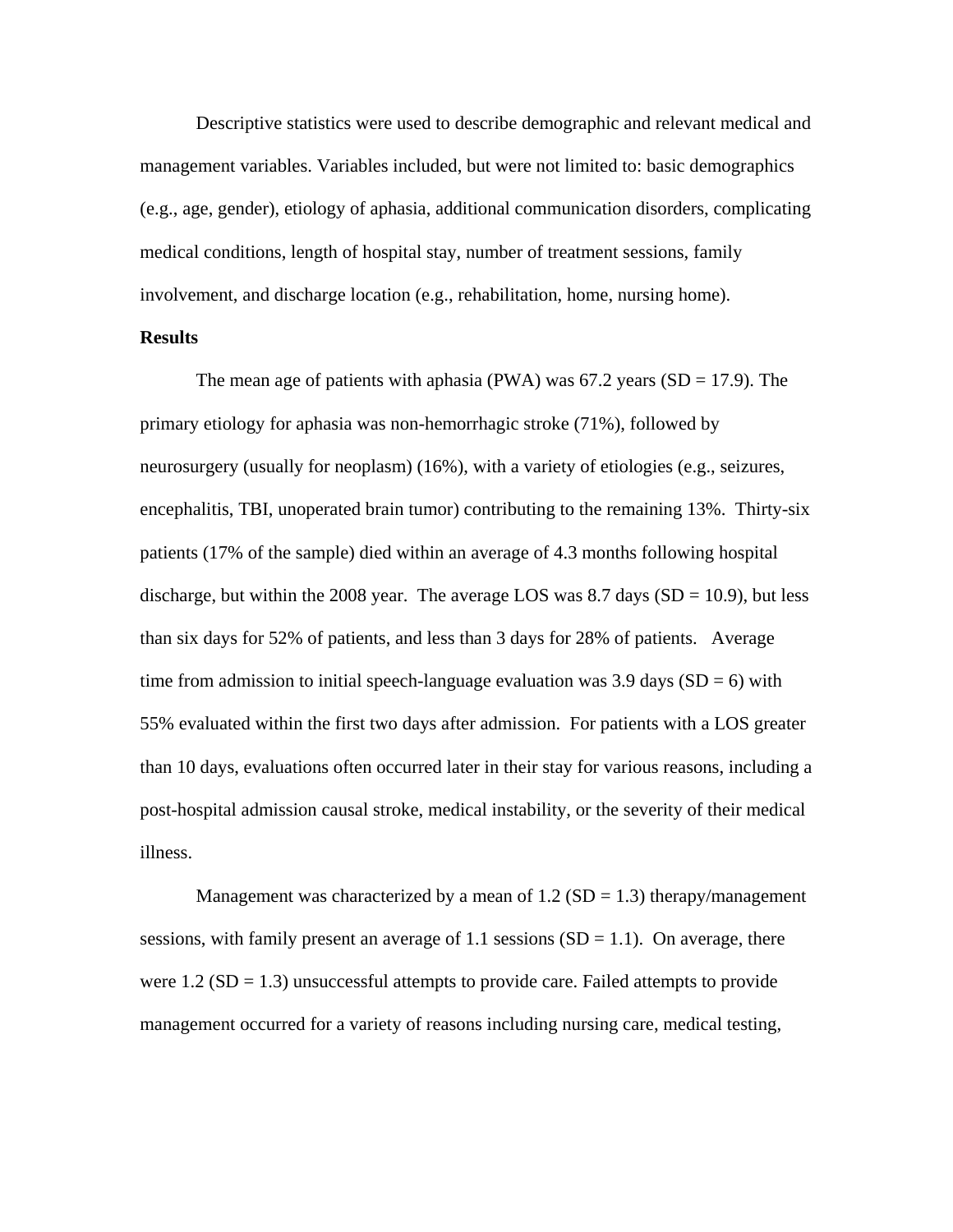Descriptive statistics were used to describe demographic and relevant medical and management variables. Variables included, but were not limited to: basic demographics (e.g., age, gender), etiology of aphasia, additional communication disorders, complicating medical conditions, length of hospital stay, number of treatment sessions, family involvement, and discharge location (e.g., rehabilitation, home, nursing home).

# **Results**

The mean age of patients with aphasia (PWA) was  $67.2$  years (SD = 17.9). The primary etiology for aphasia was non-hemorrhagic stroke (71%), followed by neurosurgery (usually for neoplasm) (16%), with a variety of etiologies (e.g., seizures, encephalitis, TBI, unoperated brain tumor) contributing to the remaining 13%. Thirty-six patients (17% of the sample) died within an average of 4.3 months following hospital discharge, but within the 2008 year. The average LOS was  $8.7$  days (SD = 10.9), but less than six days for 52% of patients, and less than 3 days for 28% of patients. Average time from admission to initial speech-language evaluation was 3.9 days  $(SD = 6)$  with 55% evaluated within the first two days after admission. For patients with a LOS greater than 10 days, evaluations often occurred later in their stay for various reasons, including a post-hospital admission causal stroke, medical instability, or the severity of their medical illness.

Management was characterized by a mean of  $1.2$  (SD = 1.3) therapy/management sessions, with family present an average of 1.1 sessions  $(SD = 1.1)$ . On average, there were  $1.2$  (SD = 1.3) unsuccessful attempts to provide care. Failed attempts to provide management occurred for a variety of reasons including nursing care, medical testing,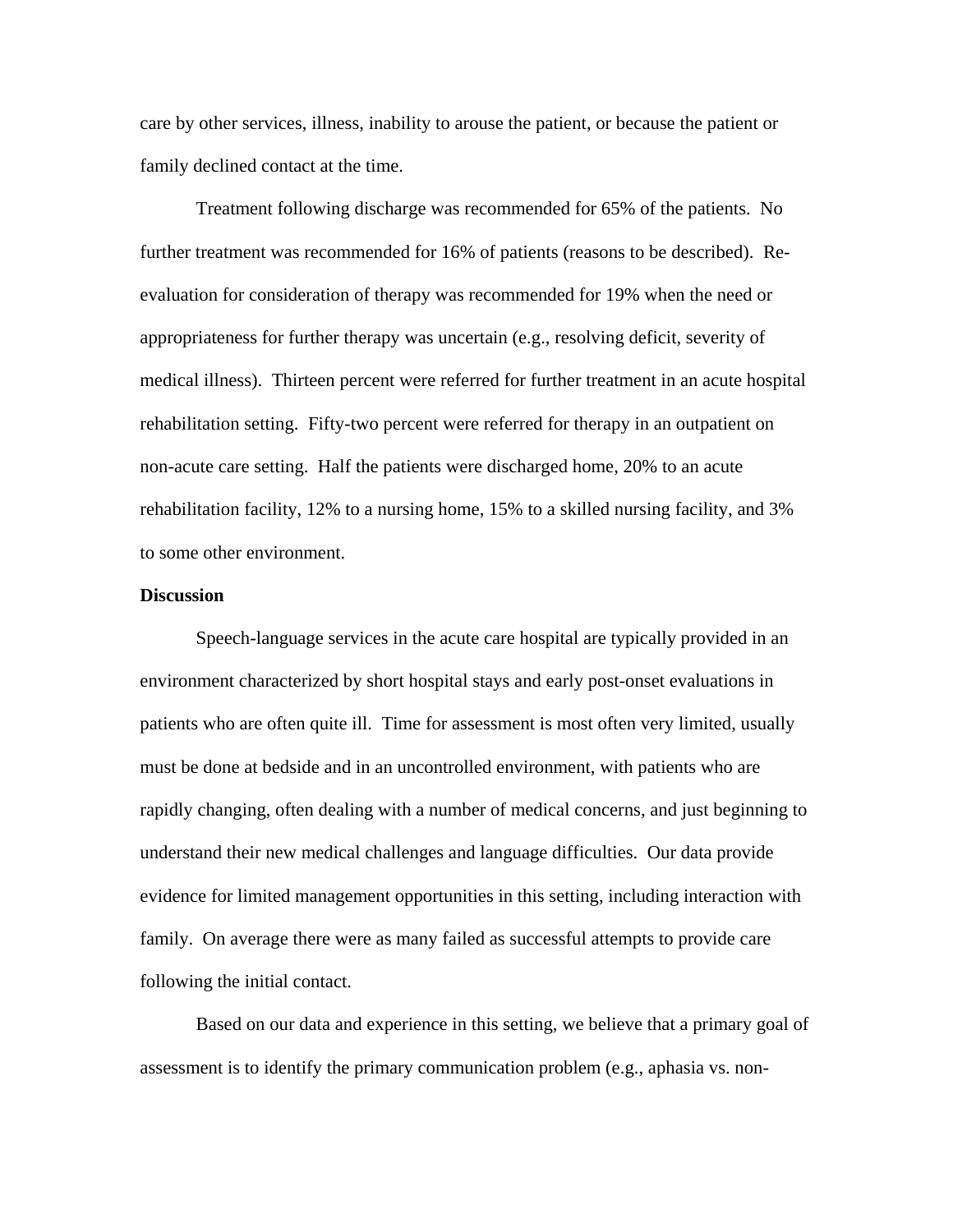care by other services, illness, inability to arouse the patient, or because the patient or family declined contact at the time.

Treatment following discharge was recommended for 65% of the patients. No further treatment was recommended for 16% of patients (reasons to be described). Reevaluation for consideration of therapy was recommended for 19% when the need or appropriateness for further therapy was uncertain (e.g., resolving deficit, severity of medical illness). Thirteen percent were referred for further treatment in an acute hospital rehabilitation setting. Fifty-two percent were referred for therapy in an outpatient on non-acute care setting. Half the patients were discharged home, 20% to an acute rehabilitation facility, 12% to a nursing home, 15% to a skilled nursing facility, and 3% to some other environment.

## **Discussion**

Speech-language services in the acute care hospital are typically provided in an environment characterized by short hospital stays and early post-onset evaluations in patients who are often quite ill. Time for assessment is most often very limited, usually must be done at bedside and in an uncontrolled environment, with patients who are rapidly changing, often dealing with a number of medical concerns, and just beginning to understand their new medical challenges and language difficulties. Our data provide evidence for limited management opportunities in this setting, including interaction with family. On average there were as many failed as successful attempts to provide care following the initial contact.

Based on our data and experience in this setting, we believe that a primary goal of assessment is to identify the primary communication problem (e.g., aphasia vs. non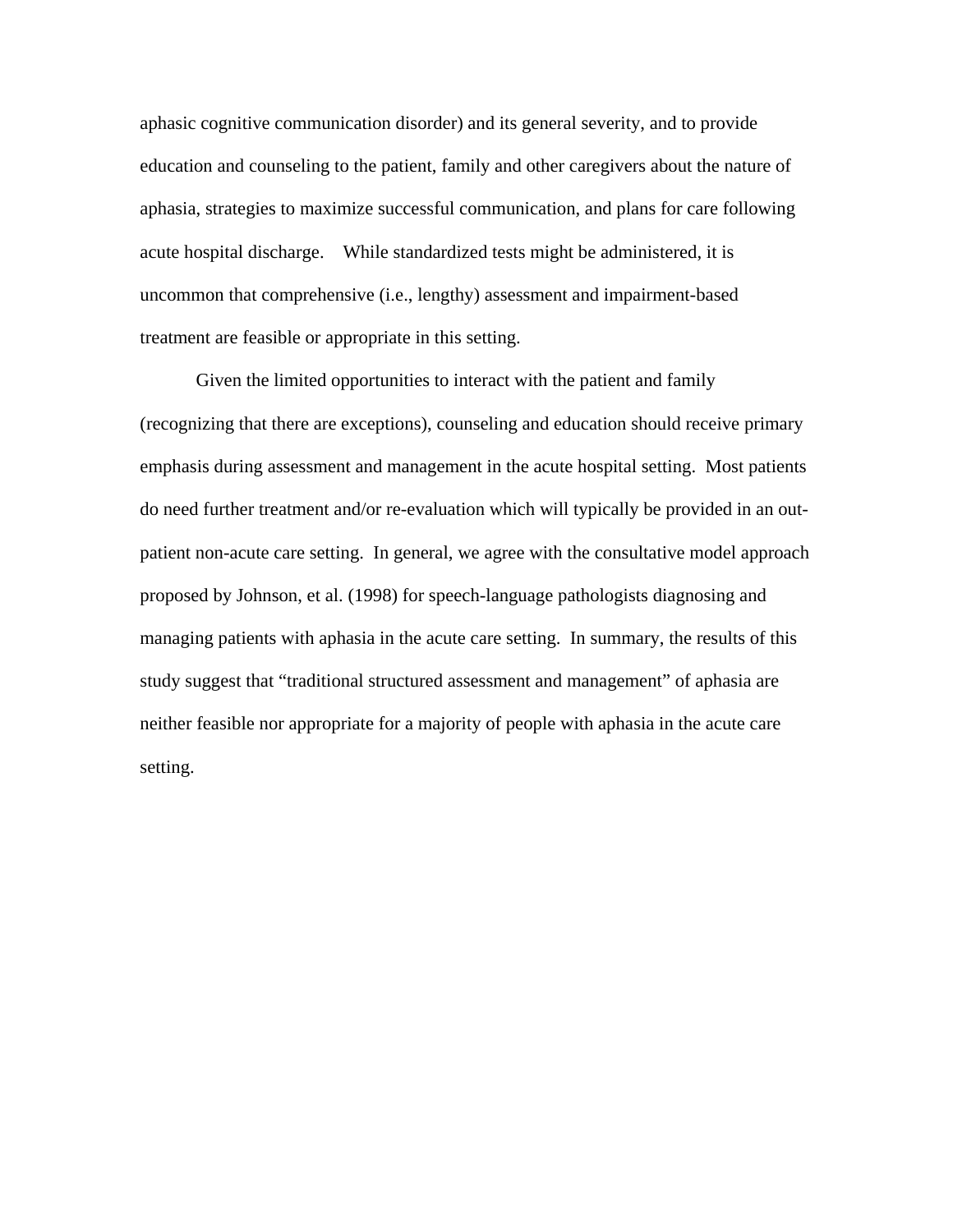aphasic cognitive communication disorder) and its general severity, and to provide education and counseling to the patient, family and other caregivers about the nature of aphasia, strategies to maximize successful communication, and plans for care following acute hospital discharge. While standardized tests might be administered, it is uncommon that comprehensive (i.e., lengthy) assessment and impairment-based treatment are feasible or appropriate in this setting.

Given the limited opportunities to interact with the patient and family (recognizing that there are exceptions), counseling and education should receive primary emphasis during assessment and management in the acute hospital setting. Most patients do need further treatment and/or re-evaluation which will typically be provided in an outpatient non-acute care setting. In general, we agree with the consultative model approach proposed by Johnson, et al. (1998) for speech-language pathologists diagnosing and managing patients with aphasia in the acute care setting. In summary, the results of this study suggest that "traditional structured assessment and management" of aphasia are neither feasible nor appropriate for a majority of people with aphasia in the acute care setting.